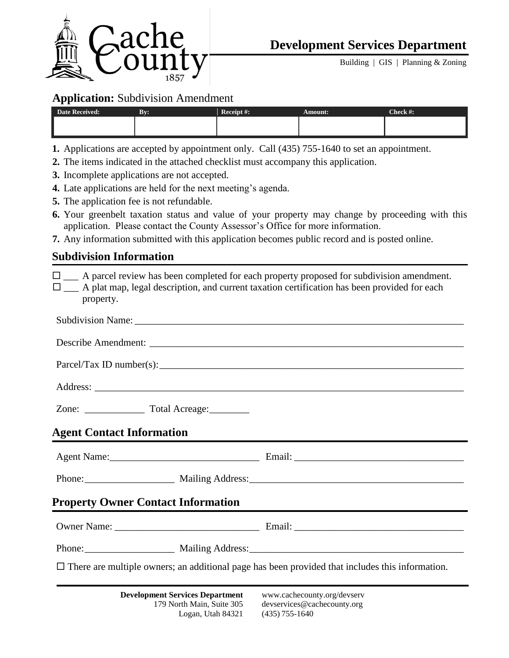

Building | GIS | Planning & Zoning

### **Application:** Subdivision Amendment

| <b>Date Received:</b> | Bv: | Receipt #: | Amount: | Check #: |
|-----------------------|-----|------------|---------|----------|
|                       |     |            |         |          |
|                       |     |            |         |          |

- **1.** Applications are accepted by appointment only. Call (435) 755-1640 to set an appointment.
- **2.** The items indicated in the attached checklist must accompany this application.
- **3.** Incomplete applications are not accepted.
- **4.** Late applications are held for the next meeting's agenda.
- **5.** The application fee is not refundable.
- **6.** Your greenbelt taxation status and value of your property may change by proceeding with this application. Please contact the County Assessor's Office for more information.
- **7.** Any information submitted with this application becomes public record and is posted online.

## **Subdivision Information**

| $\square$ A parcel review has been completed for each property proposed for subdivision amendment.<br>$\square$ A plat map, legal description, and current taxation certification has been provided for each<br>property. |  |  |  |  |  |  |  |  |
|---------------------------------------------------------------------------------------------------------------------------------------------------------------------------------------------------------------------------|--|--|--|--|--|--|--|--|
|                                                                                                                                                                                                                           |  |  |  |  |  |  |  |  |
|                                                                                                                                                                                                                           |  |  |  |  |  |  |  |  |
|                                                                                                                                                                                                                           |  |  |  |  |  |  |  |  |
|                                                                                                                                                                                                                           |  |  |  |  |  |  |  |  |
|                                                                                                                                                                                                                           |  |  |  |  |  |  |  |  |
| <b>Agent Contact Information</b>                                                                                                                                                                                          |  |  |  |  |  |  |  |  |
|                                                                                                                                                                                                                           |  |  |  |  |  |  |  |  |
|                                                                                                                                                                                                                           |  |  |  |  |  |  |  |  |
| <b>Property Owner Contact Information</b>                                                                                                                                                                                 |  |  |  |  |  |  |  |  |
|                                                                                                                                                                                                                           |  |  |  |  |  |  |  |  |
|                                                                                                                                                                                                                           |  |  |  |  |  |  |  |  |
| $\Box$ There are multiple owners; an additional page has been provided that includes this information.                                                                                                                    |  |  |  |  |  |  |  |  |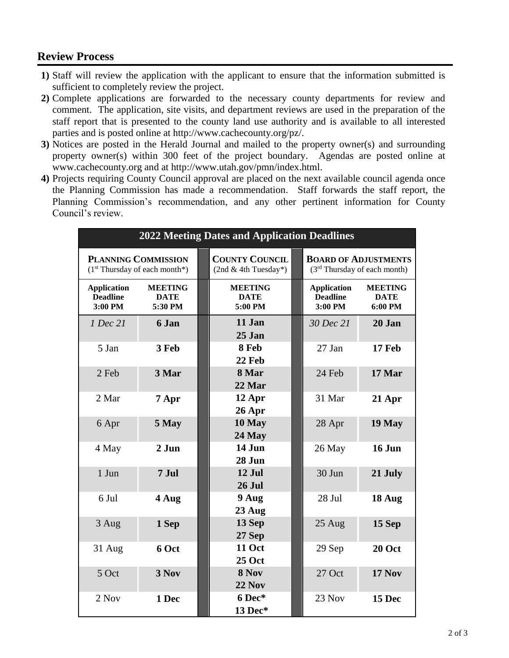# **Review Process**

- **1)** Staff will review the application with the applicant to ensure that the information submitted is sufficient to completely review the project.
- **2)** Complete applications are forwarded to the necessary county departments for review and comment. The application, site visits, and department reviews are used in the preparation of the staff report that is presented to the county land use authority and is available to all interested parties and is posted online at http://www.cachecounty.org/pz/.
- **3)** Notices are posted in the Herald Journal and mailed to the property owner(s) and surrounding property owner(s) within 300 feet of the project boundary. Agendas are posted online at www.cachecounty.org and at http://www.utah.gov/pmn/index.html.
- **4)** Projects requiring County Council approval are placed on the next available council agenda once the Planning Commission has made a recommendation. Staff forwards the staff report, the Planning Commission's recommendation, and any other pertinent information for County Council's review.

| <b>2022 Meeting Dates and Application Deadlines</b>           |                                          |  |                                                                                                                            |  |                                                  |                                          |
|---------------------------------------------------------------|------------------------------------------|--|----------------------------------------------------------------------------------------------------------------------------|--|--------------------------------------------------|------------------------------------------|
| <b>PLANNING COMMISSION</b><br>$(1st Thursday of each month*)$ |                                          |  | <b>COUNTY COUNCIL</b><br><b>BOARD OF ADJUSTMENTS</b><br>$(2nd & 4th Tuesday*)$<br>(3 <sup>rd</sup> Thursday of each month) |  |                                                  |                                          |
| <b>Application</b><br><b>Deadline</b><br>3:00 PM              | <b>MEETING</b><br><b>DATE</b><br>5:30 PM |  | <b>MEETING</b><br><b>DATE</b><br>5:00 PM                                                                                   |  | <b>Application</b><br><b>Deadline</b><br>3:00 PM | <b>MEETING</b><br><b>DATE</b><br>6:00 PM |
| 1 Dec 21                                                      | 6 Jan                                    |  | 11 Jan<br>25 Jan                                                                                                           |  | 30 Dec 21                                        | 20 Jan                                   |
| 5 Jan                                                         | 3 Feb                                    |  | 8 Feb<br>22 Feb                                                                                                            |  | 27 Jan                                           | 17 Feb                                   |
| 2 Feb                                                         | 3 Mar                                    |  | 8 Mar<br>22 Mar                                                                                                            |  | 24 Feb                                           | 17 Mar                                   |
| 2 Mar                                                         | 7 Apr                                    |  | 12 Apr<br>$26$ Apr                                                                                                         |  | 31 Mar                                           | 21 Apr                                   |
| 6 Apr                                                         | 5 May                                    |  | 10 May<br>24 May                                                                                                           |  | 28 Apr                                           | 19 May                                   |
| 4 May                                                         | 2 Jun                                    |  | 14 Jun<br>28 Jun                                                                                                           |  | 26 May                                           | 16 Jun                                   |
| 1 Jun                                                         | 7 Jul                                    |  | 12 Jul<br><b>26 Jul</b>                                                                                                    |  | 30 Jun                                           | 21 July                                  |
| 6 Jul                                                         | 4 Aug                                    |  | 9 Aug<br>23 Aug                                                                                                            |  | 28 Jul                                           | 18 Aug                                   |
| 3 Aug                                                         | 1 Sep                                    |  | 13 Sep<br>27 Sep                                                                                                           |  | 25 Aug                                           | 15 Sep                                   |
| 31 Aug                                                        | 6 Oct                                    |  | <b>11 Oct</b><br><b>25 Oct</b>                                                                                             |  | 29 Sep                                           | 20 Oct                                   |
| 5 Oct                                                         | 3 Nov                                    |  | 8 Nov<br><b>22 Nov</b>                                                                                                     |  | 27 Oct                                           | <b>17 Nov</b>                            |
| 2 Nov                                                         | 1 Dec                                    |  | 6 Dec*<br>13 Dec*                                                                                                          |  | 23 Nov                                           | 15 Dec                                   |